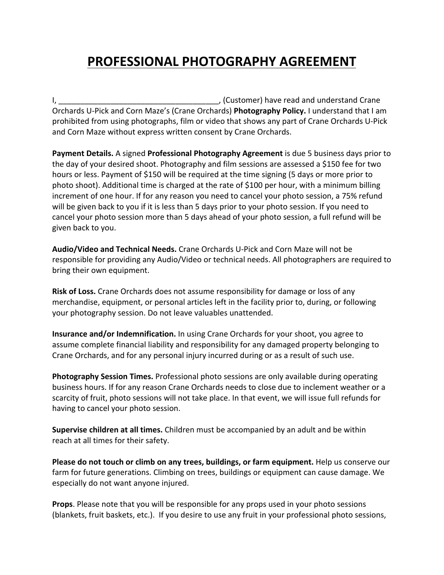## **PROFESSIONAL PHOTOGRAPHY AGREEMENT**

I, the contract of the contract of the contract of the contract of the contract of the contract of the contract of the contract of the contract of the contract of the contract of the contract of the contract of the contrac Orchards U-Pick and Corn Maze's (Crane Orchards) Photography Policy. I understand that I am prohibited from using photographs, film or video that shows any part of Crane Orchards U-Pick and Corn Maze without express written consent by Crane Orchards.

**Payment Details.** A signed **Professional Photography Agreement** is due 5 business days prior to the day of your desired shoot. Photography and film sessions are assessed a \$150 fee for two hours or less. Payment of \$150 will be required at the time signing (5 days or more prior to photo shoot). Additional time is charged at the rate of \$100 per hour, with a minimum billing increment of one hour. If for any reason you need to cancel your photo session, a 75% refund will be given back to you if it is less than 5 days prior to your photo session. If you need to cancel your photo session more than 5 days ahead of your photo session, a full refund will be given back to you.

**Audio/Video and Technical Needs.** Crane Orchards U-Pick and Corn Maze will not be responsible for providing any Audio/Video or technical needs. All photographers are required to bring their own equipment.

**Risk of Loss.** Crane Orchards does not assume responsibility for damage or loss of any merchandise, equipment, or personal articles left in the facility prior to, during, or following your photography session. Do not leave valuables unattended.

**Insurance and/or Indemnification.** In using Crane Orchards for your shoot, you agree to assume complete financial liability and responsibility for any damaged property belonging to Crane Orchards, and for any personal injury incurred during or as a result of such use.

**Photography Session Times.** Professional photo sessions are only available during operating business hours. If for any reason Crane Orchards needs to close due to inclement weather or a scarcity of fruit, photo sessions will not take place. In that event, we will issue full refunds for having to cancel your photo session.

**Supervise children at all times.** Children must be accompanied by an adult and be within reach at all times for their safety.

**Please do not touch or climb on any trees, buildings, or farm equipment.** Help us conserve our farm for future generations. Climbing on trees, buildings or equipment can cause damage. We especially do not want anyone injured.

**Props**. Please note that you will be responsible for any props used in your photo sessions (blankets, fruit baskets, etc.). If you desire to use any fruit in your professional photo sessions,